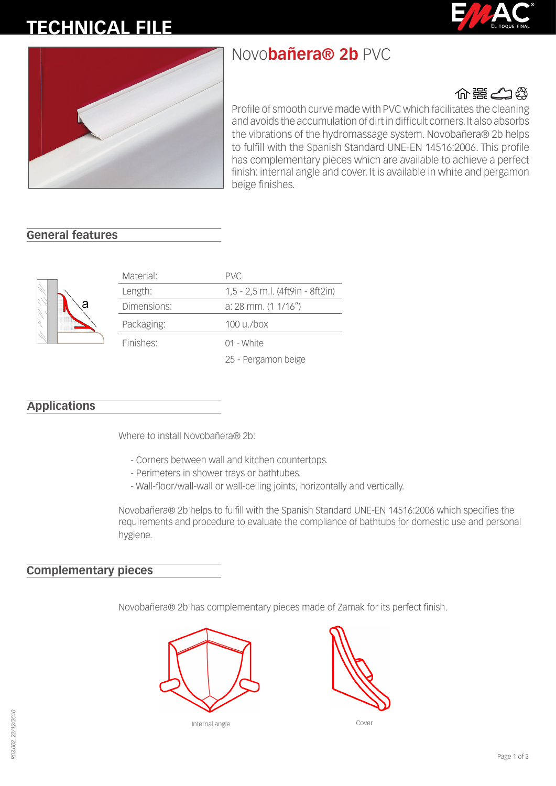# **TECHNICAL FILE**





## Novo**bañera® 2b** PVC



Profile of smooth curve made with PVC which facilitates the cleaning and avoids the accumulation of dirt in difficult corners. It also absorbs the vibrations of the hydromassage system. Novobañera® 2b helps to fulfill with the Spanish Standard UNE-EN 14516:2006. This profile has complementary pieces which are available to achieve a perfect finish: internal angle and cover. It is available in white and pergamon beige finishes.

#### **General features**



| Material:   | <b>PVC</b>                       |
|-------------|----------------------------------|
| Length:     | 1,5 - 2,5 m.l. (4ft9in - 8ft2in) |
| Dimensions: | a: 28 mm. $(1 1/16'')$           |
| Packaging:  | $100 \mu$ ./box                  |
| Finishes:   | 01 - White                       |
|             | 25 - Pergamon beige              |

#### **Applications**

Where to install Novobañera® 2b:

- Corners between wall and kitchen countertops.
- Perimeters in shower trays or bathtubes.
- Wall-floor/wall-wall or wall-ceiling joints, horizontally and vertically.

Novobañera® 2b helps to fulfill with the Spanish Standard UNE-EN 14516:2006 which specifies the requirements and procedure to evaluate the compliance of bathtubs for domestic use and personal hygiene.

#### **Complementary pieces**

Novobañera® 2b has complementary pieces made of Zamak for its perfect finish.

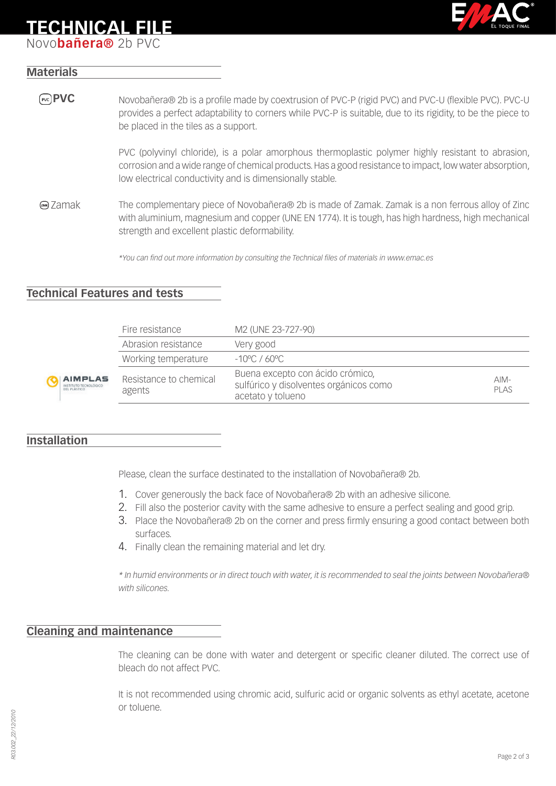### **TECHNICAL FILE**

Novo**bañera®** 2b PVC



#### **Materials**

**PVC** Novobañera® 2b is a profile made by coextrusion of PVC-P (rigid PVC) and PVC-U (flexible PVC). PVC-U provides a perfect adaptability to corners while PVC-P is suitable, due to its rigidity, to be the piece to be placed in the tiles as a support.

> PVC (polyvinyl chloride), is a polar amorphous thermoplastic polymer highly resistant to abrasion, corrosion and a wide range of chemical products. Has a good resistance to impact, low water absorption, low electrical conductivity and is dimensionally stable.

Zamak The complementary piece of Novobañera® 2b is made of Zamak. Zamak is a non ferrous alloy of Zinc with aluminium, magnesium and copper (UNE EN 1774). It is tough, has high hardness, high mechanical strength and excellent plastic deformability.

*\*You can find out more information by consulting the Technical files of materials in www.emac.es*

#### **Technical Features and tests**

|                                              | Fire resistance                  | M2 (UNE 23-727-90)                                                                              |                |
|----------------------------------------------|----------------------------------|-------------------------------------------------------------------------------------------------|----------------|
|                                              | Abrasion resistance              | Very good                                                                                       |                |
|                                              | Working temperature              | $-10^{\circ}$ C / 60 °C                                                                         |                |
| <b>MPLAS</b><br>TUTO TECNOLÓGICO<br>'LÁSTICO | Resistance to chemical<br>agents | Buena excepto con ácido crómico,<br>sulfúrico y disolventes orgánicos como<br>acetato y tolueno | $AIM-$<br>PLAS |

#### **Installation**

Please, clean the surface destinated to the installation of Novobañera® 2b.

- 1. Cover generously the back face of Novobañera® 2b with an adhesive silicone.
- 2. Fill also the posterior cavity with the same adhesive to ensure a perfect sealing and good grip.
- 3. Place the Novobañera® 2b on the corner and press firmly ensuring a good contact between both surfaces.
- 4. Finally clean the remaining material and let dry.

*\* In humid environments or in direct touch with water, it is recommended to seal the joints between Novobañera® with silicones.*

#### **Cleaning and maintenance**

The cleaning can be done with water and detergent or specific cleaner diluted. The correct use of bleach do not affect PVC.

It is not recommended using chromic acid, sulfuric acid or organic solvents as ethyl acetate, acetone or toluene.